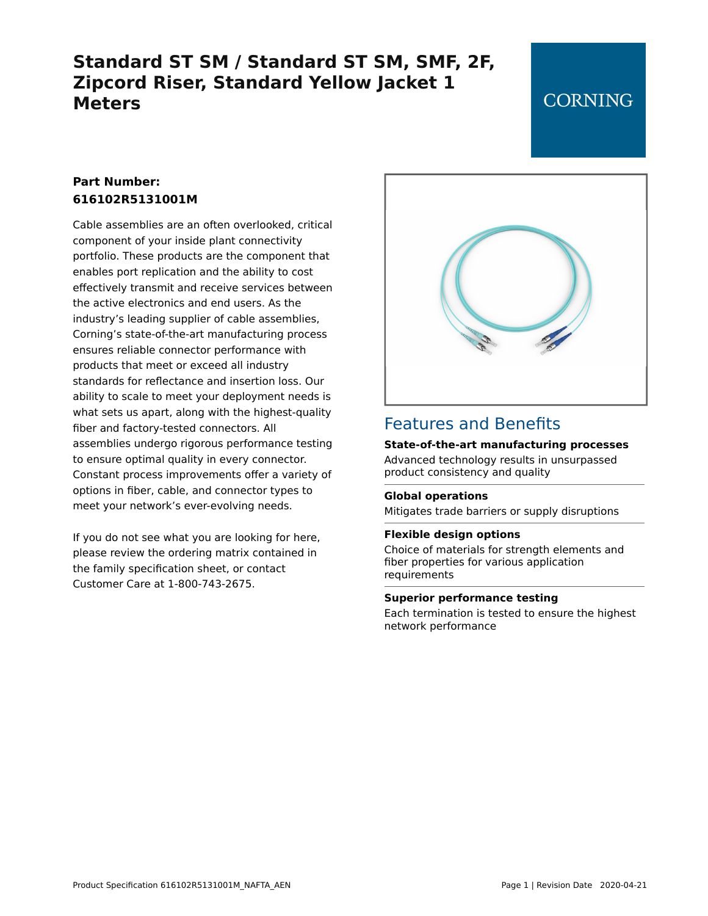## **Standard ST SM / Standard ST SM, SMF, 2F, Zipcord Riser, Standard Yellow Jacket 1 Meters**

### **CORNING**

### **Part Number: 616102R5131001M**

Cable assemblies are an often overlooked, critical component of your inside plant connectivity portfolio. These products are the component that enables port replication and the ability to cost effectively transmit and receive services between the active electronics and end users. As the industry's leading supplier of cable assemblies, Corning's state-of-the-art manufacturing process ensures reliable connector performance with products that meet or exceed all industry standards for reflectance and insertion loss. Our ability to scale to meet your deployment needs is what sets us apart, along with the highest-quality fiber and factory-tested connectors. All assemblies undergo rigorous performance testing to ensure optimal quality in every connector. Constant process improvements offer a variety of options in fiber, cable, and connector types to meet your network's ever-evolving needs.

If you do not see what you are looking for here, please review the ordering matrix contained in the family specification sheet, or contact Customer Care at 1-800-743-2675.



### Features and Benefits

#### **State-of-the-art manufacturing processes**

Advanced technology results in unsurpassed product consistency and quality

#### **Global operations**

Mitigates trade barriers or supply disruptions

#### **Flexible design options**

Choice of materials for strength elements and fiber properties for various application requirements

#### **Superior performance testing**

Each termination is tested to ensure the highest network performance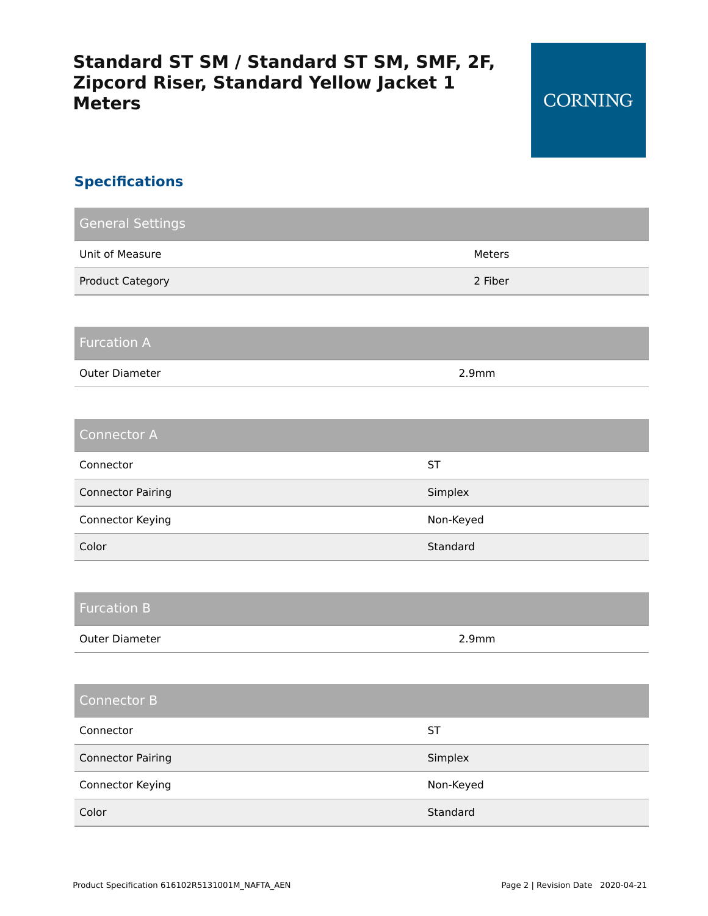# **Standard ST SM / Standard ST SM, SMF, 2F, Zipcord Riser, Standard Yellow Jacket 1 Meters**

### **Specifications**

| <b>General Settings</b>  |           |
|--------------------------|-----------|
| Unit of Measure          | Meters    |
| <b>Product Category</b>  | 2 Fiber   |
|                          |           |
| <b>Furcation A</b>       |           |
| Outer Diameter           | 2.9mm     |
|                          |           |
| <b>Connector A</b>       |           |
| Connector                | <b>ST</b> |
| <b>Connector Pairing</b> | Simplex   |
| Connector Keying         | Non-Keyed |
| Color                    | Standard  |
|                          |           |
| <b>Furcation B</b>       |           |
| Outer Diameter           | 2.9mm     |
|                          |           |
| <b>Connector B</b>       |           |
| Connector                | <b>ST</b> |
| <b>Connector Pairing</b> | Simplex   |
| Connector Keying         | Non-Keyed |
| Color                    | Standard  |
|                          |           |